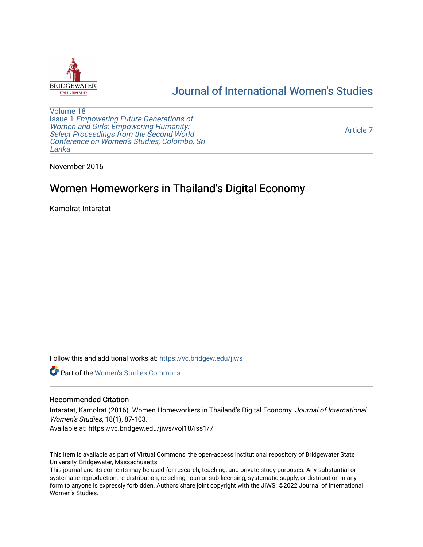

## [Journal of International Women's Studies](https://vc.bridgew.edu/jiws)

[Volume 18](https://vc.bridgew.edu/jiws/vol18) Issue 1 [Empowering Future Generations of](https://vc.bridgew.edu/jiws/vol18/iss1) [Women and Girls: Empowering Humanity:](https://vc.bridgew.edu/jiws/vol18/iss1) Select Proceedings from the Second World [Conference on Women's Studies, Colombo, Sri](https://vc.bridgew.edu/jiws/vol18/iss1)  [Lanka](https://vc.bridgew.edu/jiws/vol18/iss1) 

[Article 7](https://vc.bridgew.edu/jiws/vol18/iss1/7) 

November 2016

# Women Homeworkers in Thailand's Digital Economy

Kamolrat Intaratat

Follow this and additional works at: [https://vc.bridgew.edu/jiws](https://vc.bridgew.edu/jiws?utm_source=vc.bridgew.edu%2Fjiws%2Fvol18%2Fiss1%2F7&utm_medium=PDF&utm_campaign=PDFCoverPages)

**C** Part of the Women's Studies Commons

#### Recommended Citation

Intaratat, Kamolrat (2016). Women Homeworkers in Thailand's Digital Economy. Journal of International Women's Studies, 18(1), 87-103.

Available at: https://vc.bridgew.edu/jiws/vol18/iss1/7

This item is available as part of Virtual Commons, the open-access institutional repository of Bridgewater State University, Bridgewater, Massachusetts.

This journal and its contents may be used for research, teaching, and private study purposes. Any substantial or systematic reproduction, re-distribution, re-selling, loan or sub-licensing, systematic supply, or distribution in any form to anyone is expressly forbidden. Authors share joint copyright with the JIWS. ©2022 Journal of International Women's Studies.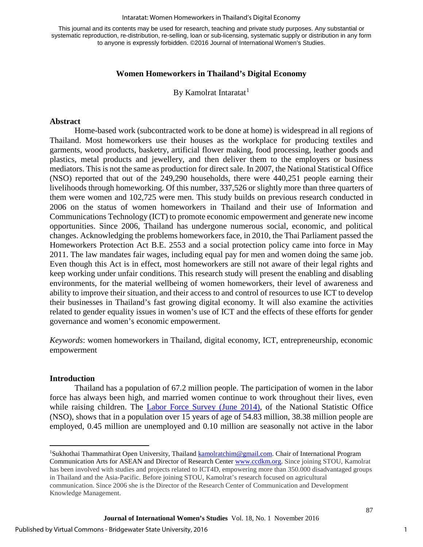#### Intaratat: Women Homeworkers in Thailand's Digital Economy

This journal and its contents may be used for research, teaching and private study purposes. Any substantial or systematic reproduction, re-distribution, re-selling, loan or sub-licensing, systematic supply or distribution in any form to anyone is expressly forbidden. ©2016 Journal of International Women's Studies.

## **Women Homeworkers in Thailand's Digital Economy**

By Kamolrat Intaratat<sup>[1](#page-1-0)</sup>

#### **Abstract**

Home-based work (subcontracted work to be done at home) is widespread in all regions of Thailand. Most homeworkers use their houses as the workplace for producing textiles and garments, wood products, basketry, artificial flower making, food processing, leather goods and plastics, metal products and jewellery, and then deliver them to the employers or business mediators. This is not the same as production for direct sale. In 2007, the National Statistical Office (NSO) reported that out of the 249,290 households, there were 440,251 people earning their livelihoods through homeworking. Of this number, 337,526 or slightly more than three quarters of them were women and 102,725 were men. This study builds on previous research conducted in 2006 on the status of women homeworkers in Thailand and their use of Information and Communications Technology (ICT) to promote economic empowerment and generate new income opportunities. Since 2006, Thailand has undergone numerous social, economic, and political changes. Acknowledging the problems homeworkers face, in 2010, the Thai Parliament passed the Homeworkers Protection Act B.E. 2553 and a social protection policy came into force in May 2011. The law mandates fair wages, including equal pay for men and women doing the same job. Even though this Act is in effect, most homeworkers are still not aware of their legal rights and keep working under unfair conditions. This research study will present the enabling and disabling environments, for the material wellbeing of women homeworkers, their level of awareness and ability to improve their situation, and their access to and control of resources to use ICT to develop their businesses in Thailand's fast growing digital economy. It will also examine the activities related to gender equality issues in women's use of ICT and the effects of these efforts for gender governance and women's economic empowerment.

*Keywords*: women homeworkers in Thailand, digital economy, ICT, entrepreneurship, economic empowerment

#### **Introduction**

 $\overline{a}$ 

Thailand has a population of 67.2 million people. The participation of women in the labor force has always been high, and married women continue to work throughout their lives, even while raising children. The [Labor Force Survey \(June 2014\),](http://web.nso.go.th/en/survey/data_survey/250857_summary_June57.pdf) of the National Statistic Office (NSO), shows that in a population over 15 years of age of 54.83 million, 38.38 million people are employed, 0.45 million are unemployed and 0.10 million are seasonally not active in the labor

<span id="page-1-0"></span><sup>&</sup>lt;sup>1</sup>Sukhothai Thammathirat Open University, Thailand **kamolratchim@gmail.com.** Chair of International Program Communication Arts for ASEAN and Director of Research Center [www.ccdkm.org.](http://www.ccdkm.org/) Since joining STOU, Kamolrat has been involved with studies and projects related to ICT4D, empowering more than 350.000 disadvantaged groups in Thailand and the Asia-Pacific. Before joining STOU, Kamolrat's research focused on agricultural communication. Since 2006 she is the Director of the Research Center of Communication and Development Knowledge Management.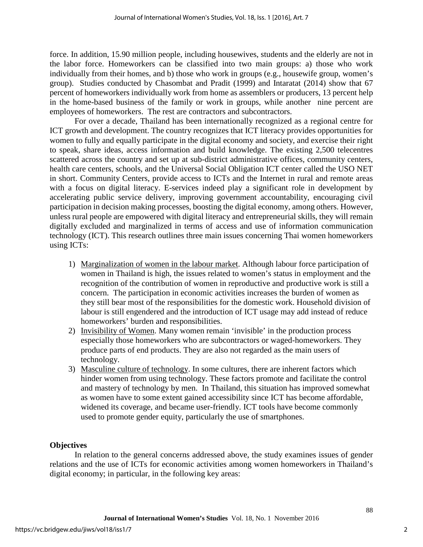force. In addition, 15.90 million people, including housewives, students and the elderly are not in the labor force. Homeworkers can be classified into two main groups: a) those who work individually from their homes, and b) those who work in groups (e.g., housewife group, women's group). Studies conducted by Chasombat and Pradit (1999) and Intaratat (2014) show that 67 percent of homeworkers individually work from home as assemblers or producers, 13 percent help in the home-based business of the family or work in groups, while another nine percent are employees of homeworkers. The rest are contractors and subcontractors.

For over a decade, Thailand has been internationally recognized as a regional centre for ICT growth and development. The country recognizes that ICT literacy provides opportunities for women to fully and equally participate in the digital economy and society, and exercise their right to speak, share ideas, access information and build knowledge. The existing 2,500 telecentres scattered across the country and set up at sub-district administrative offices, community centers, health care centers, schools, and the Universal Social Obligation ICT center called the USO NET in short. Community Centers, provide access to ICTs and the Internet in rural and remote areas with a focus on digital literacy. E-services indeed play a significant role in development by accelerating public service delivery, improving government accountability, encouraging civil participation in decision making processes, boosting the digital economy, among others. However, unless rural people are empowered with digital literacy and entrepreneurial skills, they will remain digitally excluded and marginalized in terms of access and use of information communication technology (ICT). This research outlines three main issues concerning Thai women homeworkers using ICTs:

- 1) Marginalization of women in the labour market. Although labour force participation of women in Thailand is high, the issues related to women's status in employment and the recognition of the contribution of women in reproductive and productive work is still a concern. The participation in economic activities increases the burden of women as they still bear most of the responsibilities for the domestic work. Household division of labour is still engendered and the introduction of ICT usage may add instead of reduce homeworkers' burden and responsibilities.
- 2) Invisibility of Women. Many women remain 'invisible' in the production process especially those homeworkers who are subcontractors or waged-homeworkers. They produce parts of end products. They are also not regarded as the main users of technology.
- 3) Masculine culture of technology. In some cultures, there are inherent factors which hinder women from using technology. These factors promote and facilitate the control and mastery of technology by men. In Thailand, this situation has improved somewhat as women have to some extent gained accessibility since ICT has become affordable, widened its coverage, and became user-friendly. ICT tools have become commonly used to promote gender equity, particularly the use of smartphones.

## **Objectives**

In relation to the general concerns addressed above, the study examines issues of gender relations and the use of ICTs for economic activities among women homeworkers in Thailand's digital economy; in particular, in the following key areas: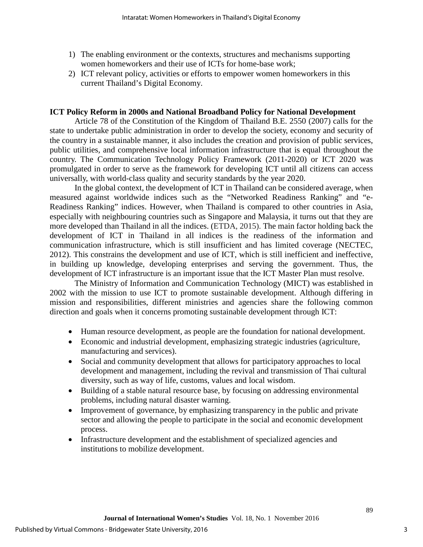- 1) The enabling environment or the contexts, structures and mechanisms supporting women homeworkers and their use of ICTs for home-base work;
- 2) ICT relevant policy, activities or efforts to empower women homeworkers in this current Thailand's Digital Economy.

#### **ICT Policy Reform in 2000s and National Broadband Policy for National Development**

Article 78 of the Constitution of the Kingdom of Thailand B.E. 2550 (2007) calls for the state to undertake public administration in order to develop the society, economy and security of the country in a sustainable manner, it also includes the creation and provision of public services, public utilities, and comprehensive local information infrastructure that is equal throughout the country. The Communication Technology Policy Framework (2011-2020) or ICT 2020 was promulgated in order to serve as the framework for developing ICT until all citizens can access universally, with world-class quality and security standards by the year 2020.

In the global context, the development of ICT in Thailand can be considered average, when measured against worldwide indices such as the "Networked Readiness Ranking" and "e-Readiness Ranking" indices. However, when Thailand is compared to other countries in Asia, especially with neighbouring countries such as Singapore and Malaysia, it turns out that they are more developed than Thailand in all the indices. (ETDA, 2015). The main factor holding back the development of ICT in Thailand in all indices is the readiness of the information and communication infrastructure, which is still insufficient and has limited coverage (NECTEC, 2012). This constrains the development and use of ICT, which is still inefficient and ineffective, in building up knowledge, developing enterprises and serving the government. Thus, the development of ICT infrastructure is an important issue that the ICT Master Plan must resolve.

The Ministry of Information and Communication Technology (MICT) was established in 2002 with the mission to use ICT to promote sustainable development. Although differing in mission and responsibilities, different ministries and agencies share the following common direction and goals when it concerns promoting sustainable development through ICT:

- Human resource development, as people are the foundation for national development.
- Economic and industrial development, emphasizing strategic industries (agriculture, manufacturing and services).
- Social and community development that allows for participatory approaches to local development and management, including the revival and transmission of Thai cultural diversity, such as way of life, customs, values and local wisdom.
- Building of a stable natural resource base, by focusing on addressing environmental problems, including natural disaster warning.
- Improvement of governance, by emphasizing transparency in the public and private sector and allowing the people to participate in the social and economic development process.
- Infrastructure development and the establishment of specialized agencies and institutions to mobilize development.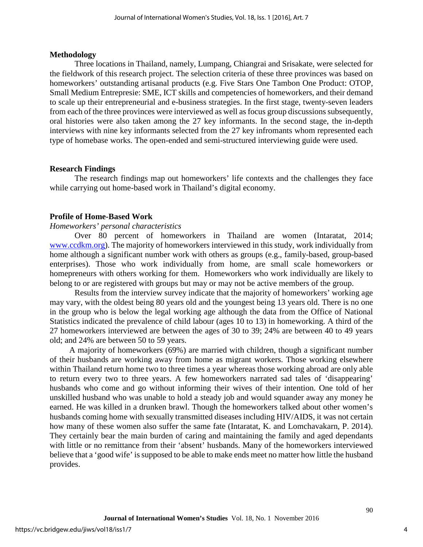#### **Methodology**

Three locations in Thailand, namely, Lumpang, Chiangrai and Srisakate, were selected for the fieldwork of this research project. The selection criteria of these three provinces was based on homeworkers' outstanding artisanal products (e.g. Five Stars One Tambon One Product: OTOP, Small Medium Entrepresie: SME, ICT skills and competencies of homeworkers, and their demand to scale up their entrepreneurial and e-business strategies. In the first stage, twenty-seven leaders from each of the three provinces were interviewed as well as focus group discussions subsequently, oral histories were also taken among the 27 key informants. In the second stage, the in-depth interviews with nine key informants selected from the 27 key infromants whom represented each type of homebase works. The open-ended and semi-structured interviewing guide were used.

#### **Research Findings**

The research findings map out homeworkers' life contexts and the challenges they face while carrying out home-based work in Thailand's digital economy.

#### **Profile of Home-Based Work**

*Homeworkers' personal characteristics* 

Over 80 percent of homeworkers in Thailand are women (Intaratat, 2014; [www.ccdkm.org\)](http://www.ccdkm.org/). The majority of homeworkers interviewed in this study, work individually from home although a significant number work with others as groups (e.g., family-based, group-based enterprises). Those who work individually from home, are small scale homeworkers or homepreneurs with others working for them. Homeworkers who work individually are likely to belong to or are registered with groups but may or may not be active members of the group.

Results from the interview survey indicate that the majority of homeworkers' working age may vary, with the oldest being 80 years old and the youngest being 13 years old. There is no one in the group who is below the legal working age although the data from the Office of National Statistics indicated the prevalence of child labour (ages 10 to 13) in homeworking. A third of the 27 homeworkers interviewed are between the ages of 30 to 39; 24% are between 40 to 49 years old; and 24% are between 50 to 59 years.

A majority of homeworkers (69%) are married with children, though a significant number of their husbands are working away from home as migrant workers. Those working elsewhere within Thailand return home two to three times a year whereas those working abroad are only able to return every two to three years. A few homeworkers narrated sad tales of 'disappearing' husbands who come and go without informing their wives of their intention. One told of her unskilled husband who was unable to hold a steady job and would squander away any money he earned. He was killed in a drunken brawl. Though the homeworkers talked about other women's husbands coming home with sexually transmitted diseases including HIV/AIDS, it was not certain how many of these women also suffer the same fate (Intaratat, K. and Lomchavakarn, P. 2014). They certainly bear the main burden of caring and maintaining the family and aged dependants with little or no remittance from their 'absent' husbands. Many of the homeworkers interviewed believe that a 'good wife' is supposed to be able to make ends meet no matter how little the husband provides.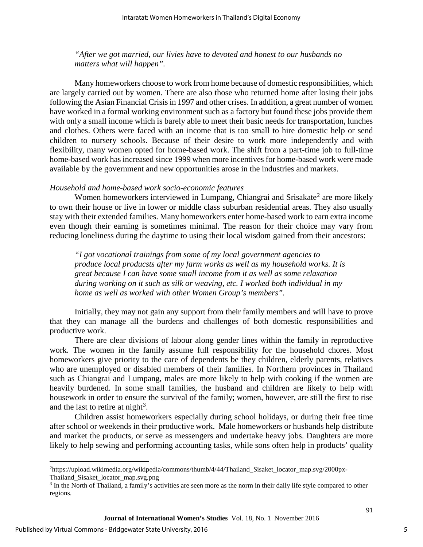*"After we got married, our livies have to devoted and honest to our husbands no matters what will happen".* 

Many homeworkers choose to work from home because of domestic responsibilities, which are largely carried out by women. There are also those who returned home after losing their jobs following the Asian Financial Crisis in 1997 and other crises. In addition, a great number of women have worked in a formal working environment such as a factory but found these jobs provide them with only a small income which is barely able to meet their basic needs for transportation, lunches and clothes. Others were faced with an income that is too small to hire domestic help or send children to nursery schools. Because of their desire to work more independently and with flexibility, many women opted for home-based work. The shift from a part-time job to full-time home-based work has increased since 1999 when more incentives for home-based work were made available by the government and new opportunities arose in the industries and markets.

#### *Household and home-based work socio-economic features*

Women homeworkers interviewed in Lumpang, Chiangrai and Srisakate<sup>[2](#page-5-0)</sup> are more likely to own their house or live in lower or middle class suburban residential areas. They also usually stay with their extended families. Many homeworkers enter home-based work to earn extra income even though their earning is sometimes minimal. The reason for their choice may vary from reducing loneliness during the daytime to using their local wisdom gained from their ancestors:

*"I got vocational trainings from some of my local government agencies to produce local producsts after my farm works as well as my household works. It is great because I can have some small income from it as well as some relaxation during working on it such as silk or weaving, etc. I worked both individual in my home as well as worked with other Women Group's members".* 

Initially, they may not gain any support from their family members and will have to prove that they can manage all the burdens and challenges of both domestic responsibilities and productive work.

There are clear divisions of labour along gender lines within the family in reproductive work. The women in the family assume full responsibility for the household chores. Most homeworkers give priority to the care of dependents be they children, elderly parents, relatives who are unemployed or disabled members of their families. In Northern provinces in Thailand such as Chiangrai and Lumpang, males are more likely to help with cooking if the women are heavily burdened. In some small families, the husband and children are likely to help with housework in order to ensure the survival of the family; women, however, are still the first to rise and the last to retire at night<sup>[3](#page-5-1)</sup>.

Children assist homeworkers especially during school holidays, or during their free time after school or weekends in their productive work. Male homeworkers or husbands help distribute and market the products, or serve as messengers and undertake heavy jobs. Daughters are more likely to help sewing and performing accounting tasks, while sons often help in products' quality

 $\overline{a}$ 

<span id="page-5-0"></span><sup>2</sup> https://upload.wikimedia.org/wikipedia/commons/thumb/4/44/Thailand\_Sisaket\_locator\_map.svg/2000px-Thailand\_Sisaket\_locator\_map.svg.png

<span id="page-5-1"></span><sup>&</sup>lt;sup>3</sup> In the North of Thailand, a family's activities are seen more as the norm in their daily life style compared to other regions.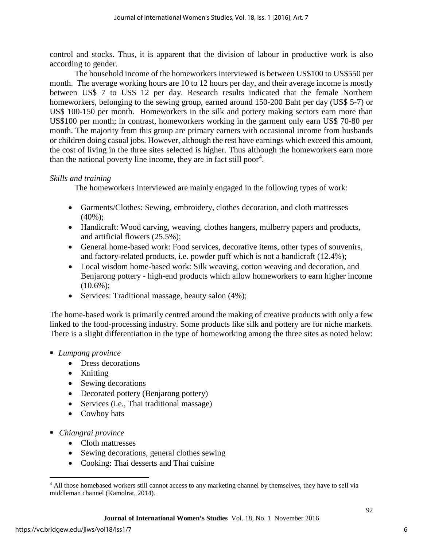control and stocks. Thus, it is apparent that the division of labour in productive work is also according to gender.

The household income of the homeworkers interviewed is between US\$100 to US\$550 per month. The average working hours are 10 to 12 hours per day, and their average income is mostly between US\$ 7 to US\$ 12 per day. Research results indicated that the female Northern homeworkers, belonging to the sewing group, earned around 150-200 Baht per day (US\$ 5-7) or US\$ 100-150 per month. Homeworkers in the silk and pottery making sectors earn more than US\$100 per month; in contrast, homeworkers working in the garment only earn US\$ 70-80 per month. The majority from this group are primary earners with occasional income from husbands or children doing casual jobs. However, although the rest have earnings which exceed this amount, the cost of living in the three sites selected is higher. Thus although the homeworkers earn more than the national poverty line income, they are in fact still poor<sup>[4](#page-6-0)</sup>.

## *Skills and training*

The homeworkers interviewed are mainly engaged in the following types of work:

- Garments/Clothes: Sewing, embroidery, clothes decoration, and cloth mattresses  $(40\%)$ ;
- Handicraft: Wood carving, weaving, clothes hangers, mulberry papers and products, and artificial flowers (25.5%);
- General home-based work: Food services, decorative items, other types of souvenirs, and factory-related products, i.e. powder puff which is not a handicraft (12.4%);
- Local wisdom home-based work: Silk weaving, cotton weaving and decoration, and Benjarong pottery - high-end products which allow homeworkers to earn higher income  $(10.6\%)$ ;
- Services: Traditional massage, beauty salon (4%);

The home-based work is primarily centred around the making of creative products with only a few linked to the food-processing industry. Some products like silk and pottery are for niche markets. There is a slight differentiation in the type of homeworking among the three sites as noted below:

## *Lumpang province*

- Dress decorations
- Knitting
- Sewing decorations
- Decorated pottery (Benjarong pottery)
- Services (i.e., Thai traditional massage)
- Cowboy hats
- *Chiangrai province* 
	- Cloth mattresses
	- Sewing decorations, general clothes sewing
	- Cooking: Thai desserts and Thai cuisine

 $\overline{a}$ 

<span id="page-6-0"></span><sup>&</sup>lt;sup>4</sup> All those homebased workers still cannot access to any marketing channel by themselves, they have to sell via middleman channel (Kamolrat, 2014).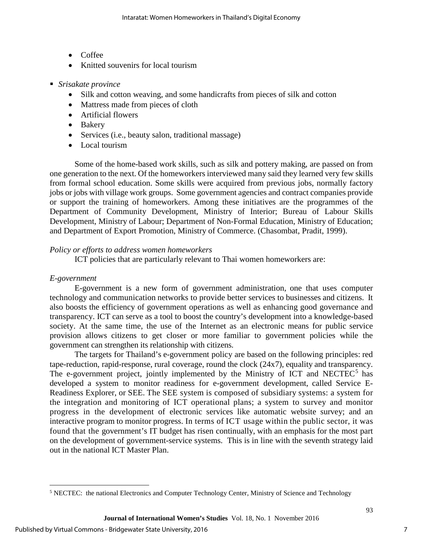- Coffee
- Knitted souvenirs for local tourism
- *Srisakate province* 
	- Silk and cotton weaving, and some handicrafts from pieces of silk and cotton
	- Mattress made from pieces of cloth
	- Artificial flowers
	- Bakery
	- Services (i.e., beauty salon, traditional massage)
	- Local tourism

Some of the home-based work skills, such as silk and pottery making, are passed on from one generation to the next. Of the homeworkers interviewed many said they learned very few skills from formal school education. Some skills were acquired from previous jobs, normally factory jobs or jobs with village work groups. Some government agencies and contract companies provide or support the training of homeworkers. Among these initiatives are the programmes of the Department of Community Development, Ministry of Interior; Bureau of Labour Skills Development, Ministry of Labour; Department of Non-Formal Education, Ministry of Education; and Department of Export Promotion, Ministry of Commerce. (Chasombat, Pradit, 1999).

## *Policy or efforts to address women homeworkers*

ICT policies that are particularly relevant to Thai women homeworkers are:

## *E-government*

 $\overline{a}$ 

E-government is a new form of government administration, one that uses computer technology and communication networks to provide better services to businesses and citizens. It also boosts the efficiency of government operations as well as enhancing good governance and transparency. ICT can serve as a tool to boost the country's development into a knowledge-based society. At the same time, the use of the Internet as an electronic means for public service provision allows citizens to get closer or more familiar to government policies while the government can strengthen its relationship with citizens.

The targets for Thailand's e-government policy are based on the following principles: red tape-reduction, rapid-response, rural coverage, round the clock (24x7), equality and transparency. The e-government project, jointly implemented by the Ministry of ICT and NECTEC $<sup>5</sup>$  $<sup>5</sup>$  $<sup>5</sup>$  has</sup> developed a system to monitor readiness for e-government development, called Service E-Readiness Explorer, or SEE. The SEE system is composed of subsidiary systems: a system for the integration and monitoring of ICT operational plans; a system to survey and monitor progress in the development of electronic services like automatic website survey; and an interactive program to monitor progress. In terms of ICT usage within the public sector, it was found that the government's IT budget has risen continually, with an emphasis for the most part on the development of government-service systems. This is in line with the seventh strategy laid out in the national ICT Master Plan.

<span id="page-7-0"></span><sup>5</sup> NECTEC: the national Electronics and Computer Technology Center, Ministry of Science and Technology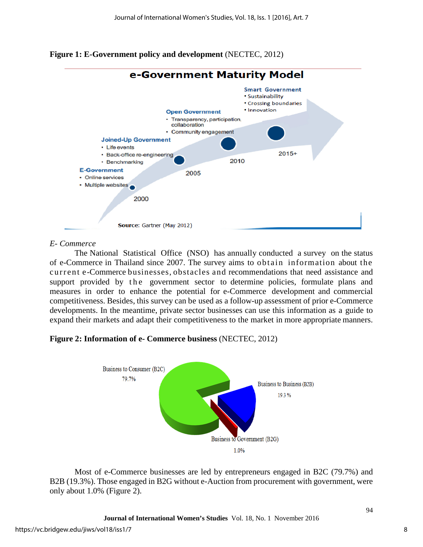



#### *E- Commerce*

The National Statistical Office (NSO) has annually conducted a survey on the status of e-Commerce in Thailand since 2007. The survey aims to obtain information about the current e-Commerce businesses, obstacles and recommendations that need assistance and support provided by the government sector to determine policies, formulate plans and measures in order to enhance the potential for e-Commerce development and commercial competitiveness. Besides, this survey can be used as a follow-up assessment of prior e-Commerce developments. In the meantime, private sector businesses can use this information as a guide to expand their markets and adapt their competitiveness to the market in more appropriate manners.

## **Figure 2: Information of e- Commerce business** (NECTEC, 2012)



Most of e-Commerce businesses are led by entrepreneurs engaged in B2C (79.7%) and B2B (19.3%). Those engaged in B2G without e-Auction from procurement with government, were only about 1.0% (Figure 2).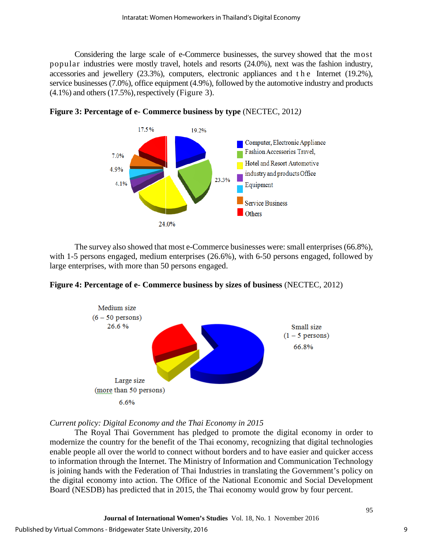Considering the large scale of e-Commerce businesses, the survey showed that the most popular industries were mostly travel, hotels and resorts (24.0%), next was the fashion industry, accessories and jewellery (23.3%), computers, electronic appliances and the Internet (19.2%), service businesses (7.0%), office equipment (4.9%), followed by the automotive industry and products  $(4.1\%)$  and others  $(17.5\%)$ , respectively (Figure 3).



**Figure 3: Percentage of e- Commerce business by type** (NECTEC, 2012*)* 

The survey also showed that most e-Commerce businesses were: small enterprises (66.8%), with 1-5 persons engaged, medium enterprises (26.6%), with 6-50 persons engaged, followed by large enterprises, with more than 50 persons engaged.





*Current policy: Digital Economy and the Thai Economy in 2015* 

The Royal Thai Government has pledged to promote the digital economy in order to modernize the country for the benefit of the Thai economy, recognizing that digital technologies enable people all over the world to connect without borders and to have easier and quicker access to information through the Internet. The Ministry of Information and Communication Technology is joining hands with the Federation of Thai Industries in translating the Government's policy on the digital economy into action. The Office of the National Economic and Social Development Board (NESDB) has predicted that in 2015, the Thai economy would grow by four percent.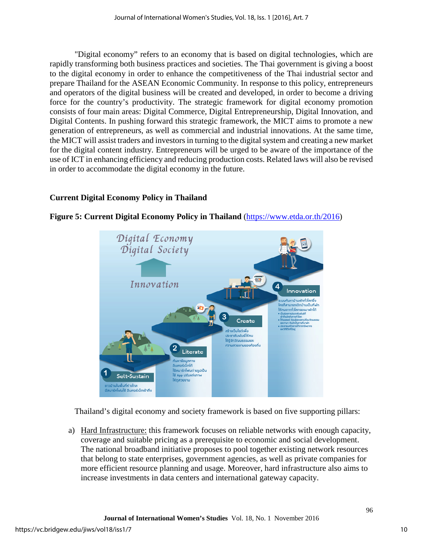"Digital economy" refers to an economy that is based on digital technologies, which are rapidly transforming both business practices and societies. The Thai government is giving a boost to the digital economy in order to enhance the competitiveness of the Thai industrial sector and prepare Thailand for the ASEAN Economic Community. In response to this policy, entrepreneurs and operators of the digital business will be created and developed, in order to become a driving force for the country's productivity. The strategic framework for digital economy promotion consists of four main areas: Digital Commerce, Digital Entrepreneurship, Digital Innovation, and Digital Contents. In pushing forward this strategic framework, the MICT aims to promote a new generation of entrepreneurs, as well as commercial and industrial innovations. At the same time, the MICT will assist traders and investors in turning to the digital system and creating a new market for the digital content industry. Entrepreneurs will be urged to be aware of the importance of the use of ICT in enhancing efficiency and reducing production costs. Related laws will also be revised in order to accommodate the digital economy in the future.

## **Current Digital Economy Policy in Thailand**



**Figure 5: Current Digital Economy Policy in Thailand** [\(https://www.etda.or.th/2](https://www.etda.or.th/)016)

Thailand's digital economy and society framework is based on five supporting pillars:

a) Hard Infrastructure: this framework focuses on reliable networks with enough capacity, coverage and suitable pricing as a prerequisite to economic and social development. The national broadband initiative proposes to pool together existing network resources that belong to state enterprises, government agencies, as well as private companies for more efficient resource planning and usage. Moreover, hard infrastructure also aims to increase investments in data centers and international gateway capacity.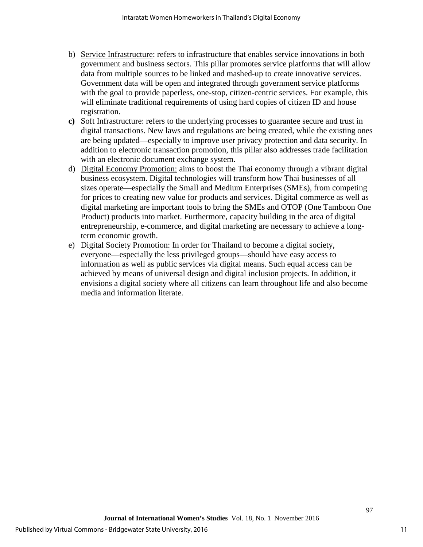- b) Service Infrastructure: refers to infrastructure that enables service innovations in both government and business sectors. This pillar promotes service platforms that will allow data from multiple sources to be linked and mashed-up to create innovative services. Government data will be open and integrated through government service platforms with the goal to provide paperless, one-stop, citizen-centric services. For example, this will eliminate traditional requirements of using hard copies of citizen ID and house registration.
- **c)** Soft Infrastructure: refers to the underlying processes to guarantee secure and trust in digital transactions. New laws and regulations are being created, while the existing ones are being updated—especially to improve user privacy protection and data security. In addition to electronic transaction promotion, this pillar also addresses trade facilitation with an electronic document exchange system.
- d) Digital Economy Promotion: aims to boost the Thai economy through a vibrant digital business ecosystem. Digital technologies will transform how Thai businesses of all sizes operate—especially the Small and Medium Enterprises (SMEs), from competing for prices to creating new value for products and services. Digital commerce as well as digital marketing are important tools to bring the SMEs and OTOP (One Tamboon One Product) products into market. Furthermore, capacity building in the area of digital entrepreneurship, e-commerce, and digital marketing are necessary to achieve a longterm economic growth.
- e) Digital Society Promotion: In order for Thailand to become a digital society, everyone—especially the less privileged groups—should have easy access to information as well as public services via digital means. Such equal access can be achieved by means of universal design and digital inclusion projects. In addition, it envisions a digital society where all citizens can learn throughout life and also become media and information literate.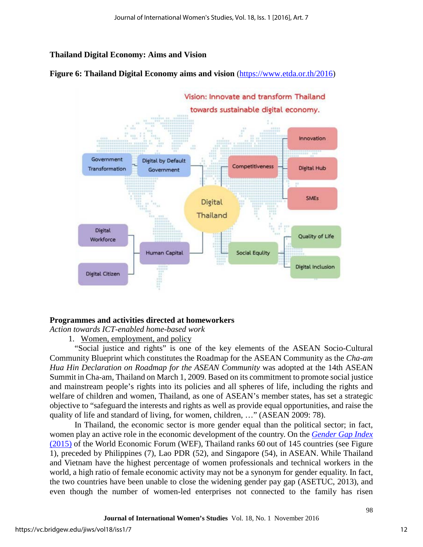## **Thailand Digital Economy: Aims and Vision**





## **Programmes and activities directed at homeworkers**

*Action towards ICT-enabled home-based work* 

1. Women, employment, and policy

"Social justice and rights" is one of the key elements of the ASEAN Socio-Cultural Community Blueprint which constitutes the Roadmap for the ASEAN Community as the *Cha-am Hua Hin Declaration on Roadmap for the ASEAN Community* was adopted at the 14th ASEAN Summit in Cha-am, Thailand on March 1, 2009. Based on its commitment to promote social justice and mainstream people's rights into its policies and all spheres of life, including the rights and welfare of children and women, Thailand, as one of ASEAN's member states, has set a strategic objective to "safeguard the interests and rights as well as provide equal opportunities, and raise the quality of life and standard of living, for women, children, …" (ASEAN 2009: 78).

In Thailand, the economic sector is more gender equal than the political sector; in fact, women play an active role in the economic development of the country. On the *[Gender Gap Index](http://reports.weforum.org/global-gender-gap-report-2015/economies/#economy=THA)* [\(2015\)](http://reports.weforum.org/global-gender-gap-report-2015/economies/#economy=THA) of the World Economic Forum (WEF), Thailand ranks 60 out of 145 countries (see Figure 1), preceded by Philippines (7), Lao PDR (52), and Singapore (54), in ASEAN. While Thailand and Vietnam have the highest percentage of women professionals and technical workers in the world, a high ratio of female economic activity may not be a synonym for gender equality. In fact, the two countries have been unable to close the widening gender pay gap (ASETUC, 2013), and even though the number of women-led enterprises not connected to the family has risen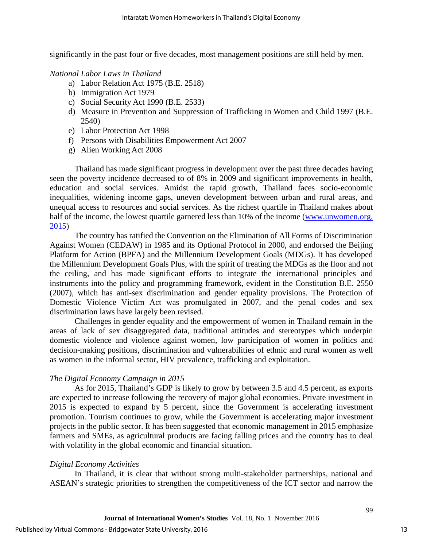significantly in the past four or five decades, most management positions are still held by men.

#### *National Labor Laws in Thailand*

- a) Labor Relation Act 1975 (B.E. 2518)
- b) Immigration Act 1979
- c) Social Security Act 1990 (B.E. 2533)
- d) Measure in Prevention and Suppression of Trafficking in Women and Child 1997 (B.E. 2540)
- e) Labor Protection Act 1998
- f) Persons with Disabilities Empowerment Act 2007
- g) Alien Working Act 2008

Thailand has made significant progress in development over the past three decades having seen the poverty incidence decreased to of 8% in 2009 and significant improvements in health, education and social services. Amidst the rapid growth, Thailand faces socio-economic inequalities, widening income gaps, uneven development between urban and rural areas, and unequal access to resources and social services. As the richest quartile in Thailand makes about half of the income, the lowest quartile garnered less than 10% of the income [\(www.unwomen.org,](http://www.unwomen.org/) 2015)

The country has ratified the Convention on the Elimination of All Forms of Discrimination Against Women (CEDAW) in 1985 and its Optional Protocol in 2000, and endorsed the Beijing Platform for Action (BPFA) and the Millennium Development Goals (MDGs). It has developed the Millennium Development Goals Plus, with the spirit of treating the MDGs as the floor and not the ceiling, and has made significant efforts to integrate the international principles and instruments into the policy and programming framework, evident in the Constitution B.E. 2550 (2007), which has anti-sex discrimination and gender equality provisions. The Protection of Domestic Violence Victim Act was promulgated in 2007, and the penal codes and sex discrimination laws have largely been revised.

Challenges in gender equality and the empowerment of women in Thailand remain in the areas of lack of sex disaggregated data, traditional attitudes and stereotypes which underpin domestic violence and violence against women, low participation of women in politics and decision-making positions, discrimination and vulnerabilities of ethnic and rural women as well as women in the informal sector, HIV prevalence, trafficking and exploitation.

## *The Digital Economy Campaign in 2015*

As for 2015, Thailand's GDP is likely to grow by between 3.5 and 4.5 percent, as exports are expected to increase following the recovery of major global economies. Private investment in 2015 is expected to expand by 5 percent, since the Government is accelerating investment promotion. Tourism continues to grow, while the Government is accelerating major investment projects in the public sector. It has been suggested that economic management in 2015 emphasize farmers and SMEs, as agricultural products are facing falling prices and the country has to deal with volatility in the global economic and financial situation.

## *Digital Economy Activities*

In Thailand, it is clear that without strong multi-stakeholder partnerships, national and ASEAN's strategic priorities to strengthen the competitiveness of the ICT sector and narrow the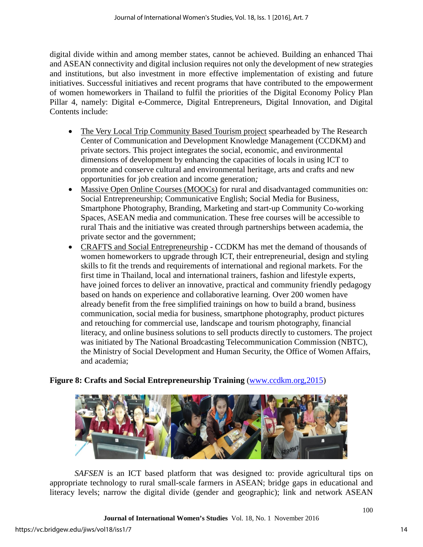digital divide within and among member states, cannot be achieved. Building an enhanced Thai and ASEAN connectivity and digital inclusion requires not only the development of new strategies and institutions, but also investment in more effective implementation of existing and future initiatives. Successful initiatives and recent programs that have contributed to the empowerment of women homeworkers in Thailand to fulfil the priorities of the Digital Economy Policy Plan Pillar 4, namely: Digital e-Commerce, Digital Entrepreneurs, Digital Innovation, and Digital Contents include:

- The Very Local Trip Community Based Tourism project spearheaded by The Research Center of Communication and Development Knowledge Management (CCDKM) and private sectors. This project integrates the social, economic, and environmental dimensions of development by enhancing the capacities of locals in using ICT to promote and conserve cultural and environmental heritage, arts and crafts and new opportunities for job creation and income generation*;*
- Massive Open Online Courses (MOOCs) for rural and disadvantaged communities on: Social Entrepreneurship; Communicative English; Social Media for Business, Smartphone Photography, Branding, Marketing and start-up Community Co-working Spaces, ASEAN media and communication. These free courses will be accessible to rural Thais and the initiative was created through partnerships between academia, the private sector and the government;
- CRAFTS and Social EntrepreneurshipCCDKM has met the demand of thousands of women homeworkers to upgrade through ICT, their entrepreneurial, design and styling skills to fit the trends and requirements of international and regional markets. For the first time in Thailand, local and international trainers, fashion and lifestyle experts, have joined forces to deliver an innovative, practical and community friendly pedagogy based on hands on experience and collaborative learning. Over 200 women have already benefit from the free simplified trainings on how to build a brand, business communication, social media for business, smartphone photography, product pictures and retouching for commercial use, landscape and tourism photography, financial literacy, and online business solutions to sell products directly to customers. The project was initiated by The National Broadcasting Telecommunication Commission (NBTC), the Ministry of Social Development and Human Security, the Office of Women Affairs, and academia;

## **Figure 8: Crafts and Social Entrepreneurship Training** [\(www.ccdkm.org,2015\)](http://www.ccdkm.org,2015/)



*SAFSEN* is an ICT based platform that was designed to: provide agricultural tips on appropriate technology to rural small-scale farmers in ASEAN; bridge gaps in educational and literacy levels; narrow the digital divide (gender and geographic); link and network ASEAN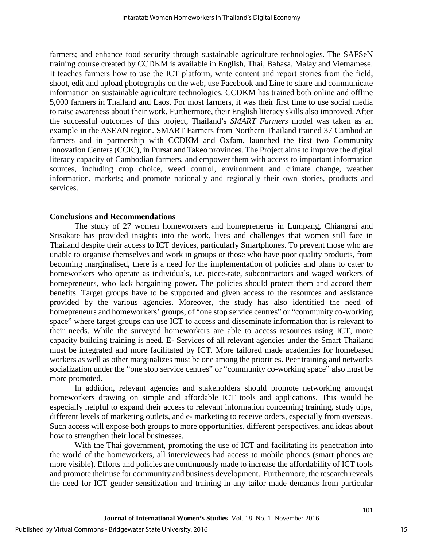farmers; and enhance food security through sustainable agriculture technologies. The SAFSeN training course created by CCDKM is available in English, Thai, Bahasa, Malay and Vietnamese. It teaches farmers how to use the ICT platform, write content and report stories from the field, shoot, edit and upload photographs on the web, use Facebook and Line to share and communicate information on sustainable agriculture technologies. CCDKM has trained both online and offline 5,000 farmers in Thailand and Laos. For most farmers, it was their first time to use social media to raise awareness about their work. Furthermore, their English literacy skills also improved. After the successful outcomes of this project, Thailand's *SMART Farmers* model was taken as an example in the ASEAN region. SMART Farmers from Northern Thailand trained 37 Cambodian farmers and in partnership with CCDKM and Oxfam, launched the first two Community Innovation Centers (CCIC), in Pursat and Takeo provinces. The Project aims to improve the digital literacy capacity of Cambodian farmers, and empower them with access to important information sources, including crop choice, weed control, environment and climate change, weather information, markets; and promote nationally and regionally their own stories, products and services.

#### **Conclusions and Recommendations**

The study of 27 women homeworkers and homeprenerus in Lumpang, Chiangrai and Srisakate has provided insights into the work, lives and challenges that women still face in Thailand despite their access to ICT devices, particularly Smartphones. To prevent those who are unable to organise themselves and work in groups or those who have poor quality products, from becoming marginalised, there is a need for the implementation of policies and plans to cater to homeworkers who operate as individuals, i.e. piece-rate, subcontractors and waged workers of homepreneurs, who lack bargaining power**.** The policies should protect them and accord them benefits. Target groups have to be supported and given access to the resources and assistance provided by the various agencies. Moreover, the study has also identified the need of homepreneurs and homeworkers' groups, of "one stop service centres" or "community co-working space" where target groups can use ICT to access and disseminate information that is relevant to their needs. While the surveyed homeworkers are able to access resources using ICT, more capacity building training is need. E- Services of all relevant agencies under the Smart Thailand must be integrated and more facilitated by ICT. More tailored made academies for homebased workers as well as other marginalizes must be one among the priorities. Peer training and networks socialization under the "one stop service centres" or "community co-working space" also must be more promoted.

In addition, relevant agencies and stakeholders should promote networking amongst homeworkers drawing on simple and affordable ICT tools and applications. This would be especially helpful to expand their access to relevant information concerning training, study trips, different levels of marketing outlets, and e- marketing to receive orders, especially from overseas. Such access will expose both groups to more opportunities, different perspectives, and ideas about how to strengthen their local businesses.

With the Thai government, promoting the use of ICT and facilitating its penetration into the world of the homeworkers, all interviewees had access to mobile phones (smart phones are more visible). Efforts and policies are continuously made to increase the affordability of ICT tools and promote their use for community and business development. Furthermore, the research reveals the need for ICT gender sensitization and training in any tailor made demands from particular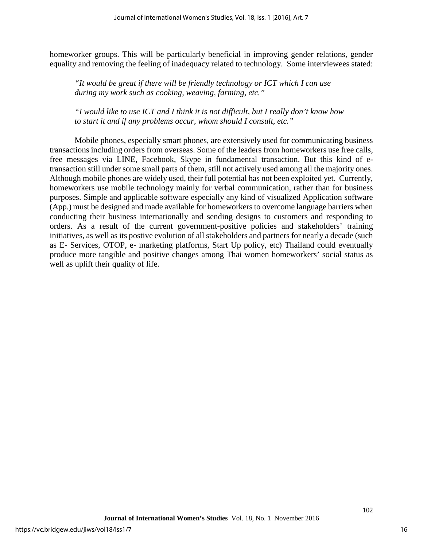homeworker groups. This will be particularly beneficial in improving gender relations, gender equality and removing the feeling of inadequacy related to technology. Some interviewees stated:

*"It would be great if there will be friendly technology or ICT which I can use during my work such as cooking, weaving, farming, etc."* 

*"I would like to use ICT and I think it is not difficult, but I really don't know how to start it and if any problems occur, whom should I consult, etc."* 

Mobile phones, especially smart phones, are extensively used for communicating business transactions including orders from overseas. Some of the leaders from homeworkers use free calls, free messages via LINE, Facebook, Skype in fundamental transaction. But this kind of etransaction still under some small parts of them, still not actively used among all the majority ones. Although mobile phones are widely used, their full potential has not been exploited yet. Currently, homeworkers use mobile technology mainly for verbal communication, rather than for business purposes. Simple and applicable software especially any kind of visualized Application software (App.) must be designed and made available for homeworkers to overcome language barriers when conducting their business internationally and sending designs to customers and responding to orders. As a result of the current government-positive policies and stakeholders' training initiatives, as well as its postive evolution of all stakeholders and partners for nearly a decade (such as E- Services, OTOP, e- marketing platforms, Start Up policy, etc) Thailand could eventually produce more tangible and positive changes among Thai women homeworkers' social status as well as uplift their quality of life.